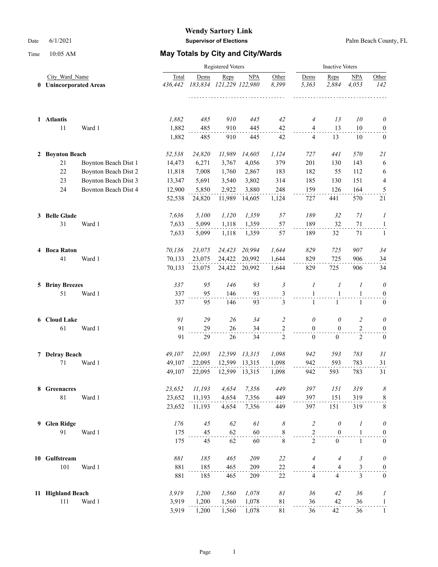|    | City Ward Name<br><b>Unincorporated Areas</b><br>$\mathbf 0$ |                      |                  | <b>Inactive Voters</b> |                                 |            |                     |                              |                              |                              |                                      |
|----|--------------------------------------------------------------|----------------------|------------------|------------------------|---------------------------------|------------|---------------------|------------------------------|------------------------------|------------------------------|--------------------------------------|
|    |                                                              |                      | Total<br>436,442 | Dems                   | Reps<br>183,834 121,229 122,980 | <b>NPA</b> | Other<br>8,399<br>. | Dems<br>5,363                | Reps<br>2,884                | <b>NPA</b><br>4.053          | Other<br>142                         |
|    | 1 Atlantis                                                   |                      | 1,882            | 485                    | 910                             | 445        | 42                  | $\overline{A}$               | 13                           | 10                           | $\theta$                             |
|    | 11                                                           | Ward 1               | 1,882<br>1,882   | 485<br>485             | 910<br>910                      | 445<br>445 | 42<br>42            | $\overline{4}$<br>4          | 13<br>13                     | 10<br>10                     | $\boldsymbol{0}$<br>$\mathbf{0}$     |
|    | 2 Boynton Beach                                              |                      | 52,538           | 24,820                 | 11,989                          | 14,605     | 1,124               | 727                          | 441                          | 570                          | 21                                   |
|    | 21                                                           | Boynton Beach Dist 1 | 14,473           | 6,271                  | 3,767                           | 4,056      | 379                 | 201                          | 130                          | 143                          | 6                                    |
|    | 22                                                           | Boynton Beach Dist 2 | 11,818           | 7,008                  | 1,760                           | 2,867      | 183                 | 182                          | 55                           | 112                          | 6                                    |
|    | 23                                                           | Boynton Beach Dist 3 | 13,347           | 5,691                  | 3,540                           | 3,802      | 314                 | 185                          | 130                          | 151                          | $\overline{\mathbf{4}}$              |
|    | 24                                                           | Boynton Beach Dist 4 | 12,900           | 5,850                  | 2,922                           | 3,880      | 248                 | 159                          | 126                          | 164                          | $\overline{\mathbf{5}}$              |
|    |                                                              |                      | 52,538           | 24,820                 | 11,989                          | 14,605     | 1,124               | 727                          | 441                          | 570                          | 21                                   |
|    | 3 Belle Glade                                                |                      | 7,636            | 5,100                  | 1,120                           | 1,359      | 57                  | 189                          | 32                           | 71                           | 1                                    |
|    | 31                                                           | Ward 1               | 7,633            | 5,099                  | 1,118                           | 1,359      | 57                  | 189                          | 32                           | 71                           | $\overline{a}$                       |
|    |                                                              |                      | 7,633            | 5,099                  | 1,118                           | 1,359      | 57                  | 189                          | 32                           | 71                           | 1                                    |
|    | 4 Boca Raton                                                 |                      | 70,136           | 23,075                 | 24,423                          | 20,994     | 1,644               | 829                          | 725                          | 907                          | 34                                   |
|    | 41                                                           | Ward 1               | 70,133           | 23,075                 | 24,422                          | 20,992     | 1,644               | 829                          | 725                          | 906                          | 34                                   |
|    |                                                              |                      | 70,133           | 23,075                 | 24,422                          | 20,992     | 1,644               | 829                          | 725                          | 906                          | 34                                   |
|    | 5 Briny Breezes                                              |                      | 337              | 95                     | 146                             | 93         | $\mathfrak{Z}$      | 1                            | $\boldsymbol{l}$             | 1                            | $\theta$                             |
|    | 51                                                           | Ward 1               | 337<br>337       | 95<br>95               | 146<br>146                      | 93<br>93   | 3<br>3              | $\mathbf{1}$<br>$\mathbf{1}$ | $\mathbf{1}$<br>$\mathbf{1}$ | $\mathbf{1}$<br>$\mathbf{1}$ | $\boldsymbol{0}$<br>$\boldsymbol{0}$ |
|    |                                                              |                      |                  |                        |                                 |            |                     |                              |                              |                              |                                      |
|    | 6 Cloud Lake                                                 |                      | 91               | 29                     | 26                              | 34         | $\overline{2}$      | 0                            | 0                            | $\overline{2}$               | $\theta$                             |
|    | 61                                                           | Ward 1               | 91               | 29                     | 26                              | 34         | $\frac{2}{1}$       | $\mathbf{0}$                 | $\mathbf{0}$                 | 2                            | $\boldsymbol{0}$                     |
|    |                                                              |                      | 91               | 29                     | 26                              | 34         | $\mathfrak{2}$      | $\overline{0}$               | $\overline{0}$               | $\overline{2}$               | $\boldsymbol{0}$                     |
|    | 7 Delray Beach                                               |                      | 49,107           | 22,095                 | 12,599                          | 13,315     | 1,098               | 942                          | 593                          | 783                          | 31                                   |
|    | 71                                                           | Ward 1               | 49,107           | 22,095                 | 12,599                          | 13,315     | 1,098               | 942                          | 593                          | 783                          | 31                                   |
|    |                                                              |                      | 49,107           | 22,095                 | 12,599                          | 13,315     | 1,098               | 942                          | 593                          | 783                          | 31                                   |
|    | 8 Greenacres                                                 |                      | 23,652           | 11,193                 | 4,654                           | 7,356      | 449                 | 397                          | 151                          | 319                          | 8                                    |
|    | $81\,$                                                       | Ward 1               | 23,652           | 11,193                 | 4,654                           | 7,356      | 449                 | 397                          | 151                          | 319                          | $\,$ 8 $\,$                          |
|    |                                                              |                      | 23,652           | 11,193                 | 4,654                           | 7,356      | 449                 | 397                          | 151                          | 319                          | 8                                    |
| 9. | <b>Glen Ridge</b>                                            |                      | 176              | 45                     | 62                              | 61         | 8                   | $\overline{\mathcal{L}}$     | $\theta$                     | 1                            | $\theta$                             |
|    | 91                                                           | Ward 1               | 175              | 45                     | 62                              | 60         | $\frac{8}{1}$       | $\overline{c}$               | $\boldsymbol{0}$             | $\mathbf{1}$                 | 0                                    |
|    |                                                              |                      | 175              | 45                     | 62                              | 60         | 8                   | $\overline{2}$               | $\boldsymbol{0}$             | $1\,$                        | $\boldsymbol{0}$                     |
|    | 10 Gulfstream                                                |                      | $881\,$          | 185                    | 465                             | 209        | 22                  | 4                            | $\overline{4}$               | 3                            | 0                                    |
|    | 101                                                          | Ward 1               | 881              | 185                    | 465                             | 209        | 22                  | 4                            | 4                            | 3                            | $\boldsymbol{0}$                     |
|    |                                                              |                      | 881              | 185                    | 465                             | 209        | 22                  | $\overline{4}$               | $\overline{4}$               | 3                            | $\boldsymbol{0}$                     |
|    | 11 Highland Beach                                            |                      | 3,919            | 1,200                  | 1,560                           | 1,078      | $\delta l$          | 36                           | 42                           | 36                           | 1                                    |
|    | 111                                                          | Ward 1               | 3,919            | 1,200                  | 1,560                           | 1,078      | 81                  | 36                           | 42                           | 36                           | $\mathbf{1}$                         |
|    |                                                              |                      | 3,919            | 1,200                  | 1,560                           | 1,078      | 81                  | 36                           | 42                           | 36                           | $\mathbf{1}$                         |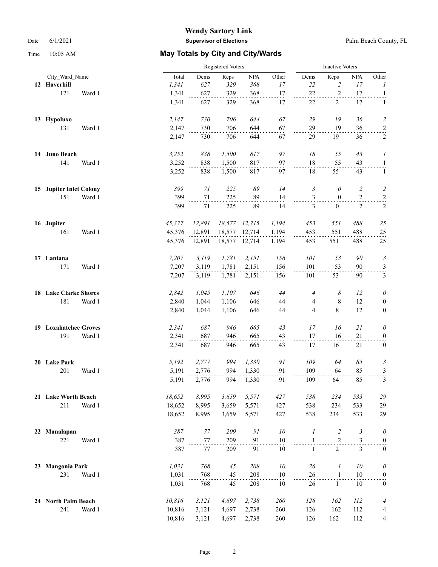|    |                              |        | Registered Voters |        |            |            |                | <b>Inactive Voters</b> |                |                       |  |
|----|------------------------------|--------|-------------------|--------|------------|------------|----------------|------------------------|----------------|-----------------------|--|
|    | City Ward Name               | Total  | Dems              | Reps   | <b>NPA</b> | Other      | Dems           | Reps                   | <b>NPA</b>     | Other                 |  |
|    | 12 Haverhill                 | 1,341  | 627               | 329    | 368        | 17         | $22\,$         | $\overline{c}$         | 17             | $\mathcal{I}$         |  |
|    | 121<br>Ward 1                | 1,341  | 627               | 329    | 368        | 17         | 22             | $\sqrt{2}$             | 17             | $\overline{1}$        |  |
|    |                              | 1,341  | 627               | 329    | 368        | 17         | 22             | 2                      | 17             | 1                     |  |
|    | 13 Hypoluxo                  | 2,147  | 730               | 706    | 644        | 67         | 29             | 19                     | 36             | $\overline{c}$        |  |
|    | 131<br>Ward 1                | 2,147  | 730               | 706    | 644        | 67         | 29             | 19                     | 36             | $\overline{2}$        |  |
|    |                              | 2,147  | 730               | 706    | 644        | 67         | 29             | 19                     | 36             | $\overline{2}$        |  |
|    | 14 Juno Beach                | 3,252  | 838               | 1,500  | 817        | 97         | 18             | 55                     | 43             | $\boldsymbol{l}$      |  |
|    | 141<br>Ward 1                | 3,252  | 838               | 1,500  | 817        | 97         | 18             | 55                     | 43             | $\mathbf{1}$          |  |
|    |                              | 3,252  | 838               | 1,500  | 817        | 97         | 18             | 55                     | 43             | 1                     |  |
|    | 15 Jupiter Inlet Colony      | 399    | 71                | 225    | 89         | 14         | 3              | 0                      | $\overline{c}$ | $\overline{c}$        |  |
|    | 151<br>Ward 1                | 399    | $71\,$            | 225    | 89         | 14         | $\mathfrak{Z}$ | $\bf{0}$               | $\sqrt{2}$     | $\overline{a}$        |  |
|    |                              | 399    | 71                | 225    | 89         | 14         | 3              | $\mathbf{0}$           | 2              | $\sqrt{2}$            |  |
|    | 16 Jupiter                   | 45,377 | 12,891            | 18,577 | 12,715     | 1,194      | 453            | 551                    | 488            | 25                    |  |
|    | 161<br>Ward 1                | 45,376 | 12,891            | 18,577 | 12,714     | 1,194      | 453            | 551                    | 488            | 25                    |  |
|    |                              | 45,376 | 12,891            | 18,577 | 12,714     | 1,194      | 453            | 551                    | 488            | 25                    |  |
|    | 17 Lantana                   | 7,207  | 3, 119            | 1,781  | 2,151      | 156        | 101            | 53                     | 90             | $\mathfrak{Z}$        |  |
|    | 171<br>Ward 1                | 7,207  | 3,119             | 1,781  | 2,151      | 156        | 101            | 53                     | 90             | $\frac{3}{1}$         |  |
|    |                              | 7,207  | 3,119             | 1,781  | 2,151      | 156        | 101            | 53                     | 90             | $\mathfrak{Z}$        |  |
|    | <b>18 Lake Clarke Shores</b> | 2,842  | 1,045             | 1,107  | 646        | 44         | $\overline{4}$ | 8                      | 12             | $\theta$              |  |
|    | 181<br>Ward 1                | 2,840  | 1,044             | 1,106  | 646        | 44         | $\overline{4}$ | $\,$ 8 $\,$            | 12             | $\boldsymbol{0}$      |  |
|    |                              | 2,840  | 1,044             | 1,106  | 646        | 44         | $\overline{4}$ | $8\,$                  | 12             | $\boldsymbol{0}$      |  |
|    | 19 Loxahatchee Groves        | 2,341  | 687               | 946    | 665        | 43         | 17             | 16                     | 21             | $\theta$              |  |
|    | 191<br>Ward 1                | 2,341  | 687               | 946    | 665        | 43         | 17             | 16                     | 21             | $\bf{0}$              |  |
|    |                              | 2,341  | 687               | 946    | 665        | 43         | 17             | 16                     | 21             | $\boldsymbol{0}$      |  |
|    | 20 Lake Park                 | 5,192  | 2,777             | 994    | 1,330      | 91         | 109            | 64                     | 85             | $\mathfrak{Z}$        |  |
|    | 201<br>Ward 1                | 5,191  | 2,776             | 994    | 1,330      | 91         | 109            | 64                     | 85             | $\overline{3}$        |  |
|    |                              | 5,191  | 2,776             | 994    | 1,330      | 91         | 109            | 64                     | 85             | $\mathfrak{Z}$        |  |
|    | 21 Lake Worth Beach          | 18,652 | 8,995             | 3,659  | 5,571      | 427        | 538            | 234                    | 533            | $29\,$                |  |
|    | 211<br>Ward 1                | 18,652 | 8,995             | 3,659  | 5,571      | 427        | 538            | 234                    | 533            | 29                    |  |
|    |                              | 18,652 | 8,995             | 3,659  | 5,571      | 427        | 538            | 234                    | 533            | 29                    |  |
| 22 | Manalapan                    | 387    | 77                | 209    | 91         | ${\it 10}$ | $\mathcal{I}$  | $\overline{c}$         | $\mathfrak{Z}$ | $\boldsymbol{\theta}$ |  |
|    | 221<br>Ward 1                | 387    | $77\,$            | 209    | 91         | 10         | $\mathbf{1}$   | $\overline{c}$         | 3              | $\overline{0}$        |  |
|    |                              | 387    | 77                | 209    | 91         | 10         | $\mathbf{1}$   | $\overline{2}$         | 3              | $\boldsymbol{0}$      |  |
| 23 | <b>Mangonia Park</b>         | 1,031  | 768               | 45     | 208        | ${\it 10}$ | 26             | 1                      | 10             | $\theta$              |  |
|    | 231<br>Ward 1                | 1,031  | 768               | 45     | 208        | 10         | 26             | $\mathbf{1}$           | $10\,$         | $\boldsymbol{0}$      |  |
|    |                              | 1,031  | 768               | 45     | 208        | 10         | 26             | $\mathbf{1}$           | 10             | $\boldsymbol{0}$      |  |
|    | 24 North Palm Beach          | 10,816 | 3, 121            | 4,697  | 2,738      | 260        | 126            | 162                    | 112            | $\overline{A}$        |  |
|    | 241<br>Ward 1                | 10,816 | 3,121             | 4,697  | 2,738      | 260        | 126            | 162                    | 112            | $\frac{4}{\cdot}$     |  |
|    |                              | 10,816 | 3,121             | 4,697  | 2,738      | 260        | 126            | 162                    | 112            | $\overline{4}$        |  |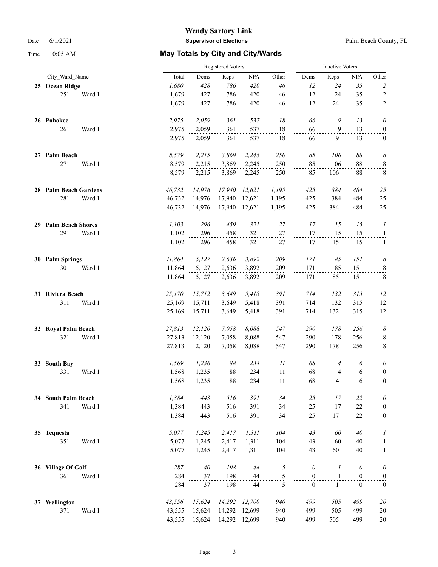|    |                          |        |        | Registered Voters |                |               |                          |                  | <b>Inactive Voters</b> |                |                            |  |
|----|--------------------------|--------|--------|-------------------|----------------|---------------|--------------------------|------------------|------------------------|----------------|----------------------------|--|
|    | City Ward Name           |        | Total  | Dems              | Reps           | NPA           | Other                    | Dems             | Reps                   | <b>NPA</b>     | Other                      |  |
|    | 25 Ocean Ridge           |        | 1,680  | 428               | 786            | 420           | 46                       | 12               | 24                     | 35             | $\overline{2}$             |  |
|    | 251                      | Ward 1 | 1,679  | 427               | 786            | 420           | 46                       | 12               | 24                     | 35             |                            |  |
|    |                          |        | 1,679  | 427               | 786            | 420           | 46                       | 12               | 24                     | 35             | $\frac{2}{2}$              |  |
|    | 26 Pahokee               |        | 2,975  | 2,059             | 361            | 537           | 18                       | 66               | 9                      | 13             | $\theta$                   |  |
|    | 261                      | Ward 1 | 2,975  | 2,059             | 361            | 537           | 18                       | 66               | 9                      | 13             | $\boldsymbol{0}$           |  |
|    |                          |        | 2,975  | 2,059             | 361            | 537           | 18                       | 66               | 9                      | 13             | $\mathbf{0}$               |  |
| 27 | Palm Beach               |        | 8,579  | 2,215             | 3,869          | 2,245         | 250                      | 85               | 106                    | $\delta\delta$ | $\boldsymbol{\mathcal{S}}$ |  |
|    | 271                      | Ward 1 | 8,579  | 2,215             | 3,869          | 2,245         | 250                      | 85               | 106                    | 88             | $\overline{\mathbf{8}}$    |  |
|    |                          |        | 8,579  | 2,215             | 3,869          | 2,245         | 250                      | 85               | 106                    | $88\,$         | 8                          |  |
|    | 28 Palm Beach Gardens    |        | 46,732 | 14,976            | 17,940         | 12,621        | 1,195                    | 425              | 384                    | 484            | 25                         |  |
|    | 281                      | Ward 1 | 46,732 | 14,976            | 17,940         | 12,621        | 1,195                    | 425              | 384                    | 484            | 25                         |  |
|    |                          |        | 46,732 | 14,976            | 17,940         | 12,621        | 1,195                    | 425              | 384                    | 484            | 25                         |  |
| 29 | <b>Palm Beach Shores</b> |        | 1,103  | 296               | 459            | 321           | 27                       | 17               | 15                     | 15             | 1                          |  |
|    | 291                      | Ward 1 | 1,102  | 296               | 458            | 321           | $27\,$                   | 17               | 15                     | 15             | $\mathbf{1}$               |  |
|    |                          |        | 1,102  | 296               | 458            | 321           | $27\,$                   | 17               | 15                     | 15             | $\mathbf{1}$               |  |
| 30 | <b>Palm Springs</b>      |        | 11,864 | 5,127             | 2,636          | 3,892         | 209                      | 171              | 85                     | 151            | $\boldsymbol{\mathcal{S}}$ |  |
|    | 301                      | Ward 1 | 11,864 | 5,127             | 2,636          | 3,892         | 209                      | 171              | 85                     | 151            | $\frac{8}{1}$              |  |
|    |                          |        | 11,864 | 5,127             | 2,636          | 3,892         | 209                      | 171              | 85                     | 151            | $8\phantom{.0}$            |  |
|    | 31 Riviera Beach         |        | 25,170 | 15,712            | 3,649          | 5,418         | 391                      | 714              | 132                    | 315            | 12                         |  |
|    | 311                      | Ward 1 | 25,169 | 15,711            | 3,649          | 5,418         | 391                      | 714              | 132                    | 315            | 12                         |  |
|    |                          |        | 25,169 | 15,711            | 3,649          | 5,418         | 391                      | 714              | 132                    | 315            | 12                         |  |
| 32 | <b>Royal Palm Beach</b>  |        | 27,813 | 12,120            | 7,058          | 8,088         | 547                      | 290              | 178                    | 256            | 8                          |  |
|    | 321                      | Ward 1 | 27,813 | 12,120            | 7,058          | 8,088         | 547                      | 290              | 178                    | 256            | $\,$ 8 $\,$                |  |
|    |                          |        | 27,813 | 12,120            | 7,058          | 8,088         | 547                      | 290              | 178                    | 256            | $\,8\,$                    |  |
| 33 | <b>South Bay</b>         |        | 1,569  | 1,236             | $\delta\delta$ | 234           | $\mathcal{I}\mathcal{I}$ | 68               | $\overline{4}$         | 6              | $\theta$                   |  |
|    | 331                      | Ward 1 | 1,568  | 1,235             | 88             | 234           | 11                       | 68               | 4                      | 6              | $\boldsymbol{0}$           |  |
|    |                          |        | 1,568  | 1,235             | 88             | 234           | 11                       | 68               | 4                      | 6              | $\overline{0}$             |  |
|    | 34 South Palm Beach      |        | 1,384  | 443               | 516            | 391           | 34                       | $25\,$           | 17                     | 22             | $\theta$                   |  |
|    | 341                      | Ward 1 | 1,384  | 443               | 516            | 391           | 34                       | 25               | 17                     | 22             | $\overline{0}$             |  |
|    |                          |        | 1,384  | 443               | 516            | 391           | 34                       | 25               | 17                     | 22             | $\bf{0}$                   |  |
|    | 35 Tequesta              |        | 5,077  | 1,245             | 2,417          | 1,311         | 104                      | 43               | 60                     | 40             | 1                          |  |
|    | 351                      | Ward 1 | 5,077  | 1,245             | 2,417          | 1,311         | 104                      | 43               | 60                     | 40             | $\overline{a}$             |  |
|    |                          |        | 5,077  | 1,245             | 2,417          | 1,311         | 104                      | 43               | 60                     | 40             | $\mathbf{1}$               |  |
|    | 36 Village Of Golf       |        | 287    | $40\,$            | 198            | 44            | 5                        | $\theta$         | 1                      | $\theta$       | $\theta$                   |  |
|    | 361                      | Ward 1 | 284    | 37                | 198            | 44            | $rac{5}{5}$              | $\boldsymbol{0}$ | $\mathbf{1}$           | $\mathbf{0}$   | $\boldsymbol{0}$           |  |
|    |                          |        | 284    | 37                | 198            | 44            |                          | $\mathbf{0}$     | $\mathbf{1}$           | $\mathbf{0}$   | $\boldsymbol{0}$           |  |
|    | 37 Wellington            |        | 43,556 | 15,624            | 14,292         | 12,700        | 940                      | 499              | 505                    | 499            | 20                         |  |
|    | 371                      | Ward 1 | 43,555 | 15,624            | 14,292         | 12,699        | 940                      | 499              | 505                    | 499            | 20                         |  |
|    |                          |        | 43,555 | 15,624            |                | 14,292 12,699 | 940                      | 499              | 505                    | 499            | 20                         |  |